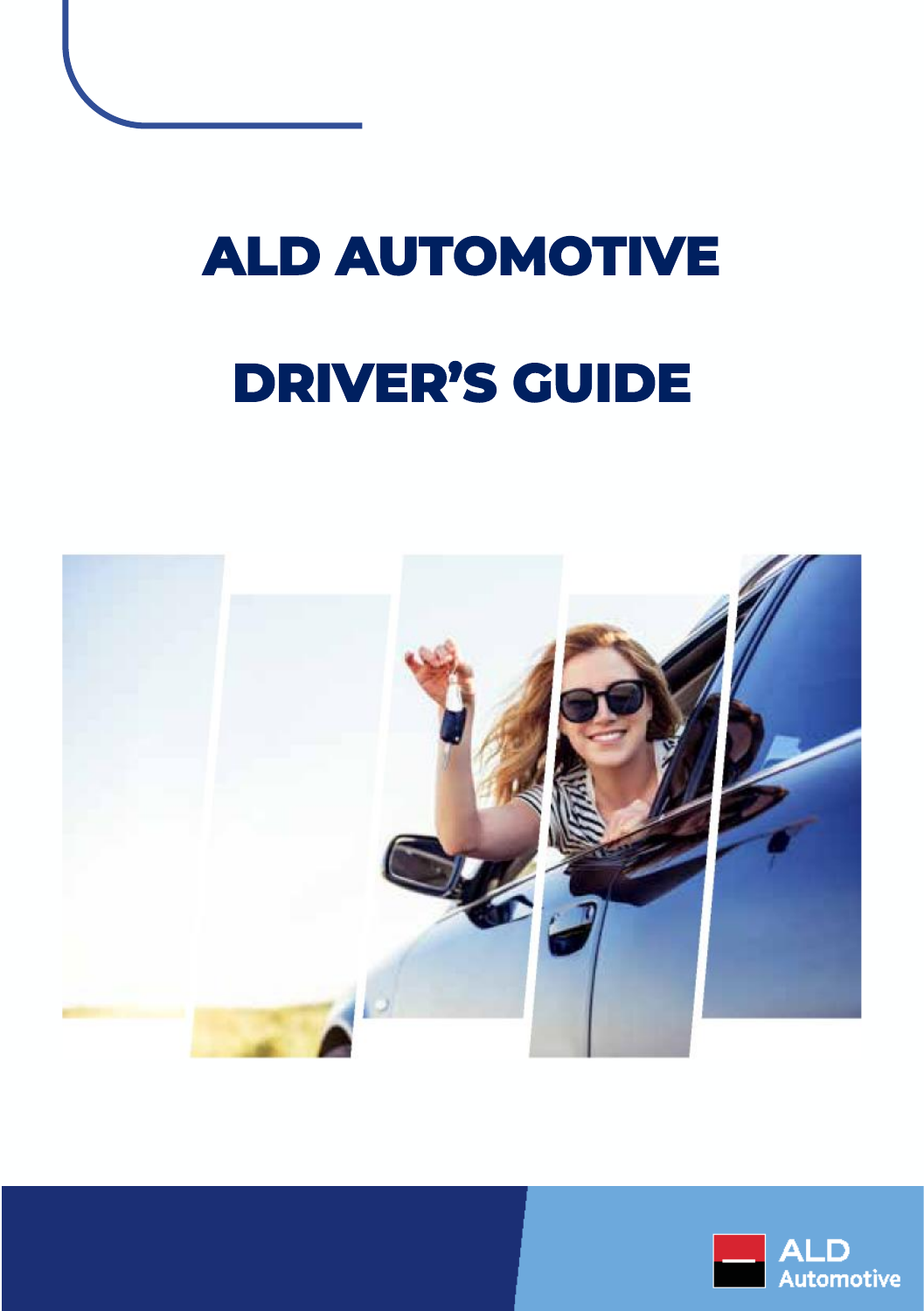## **ALD AUTOMOTIVE DRIVER'S GUIDE**



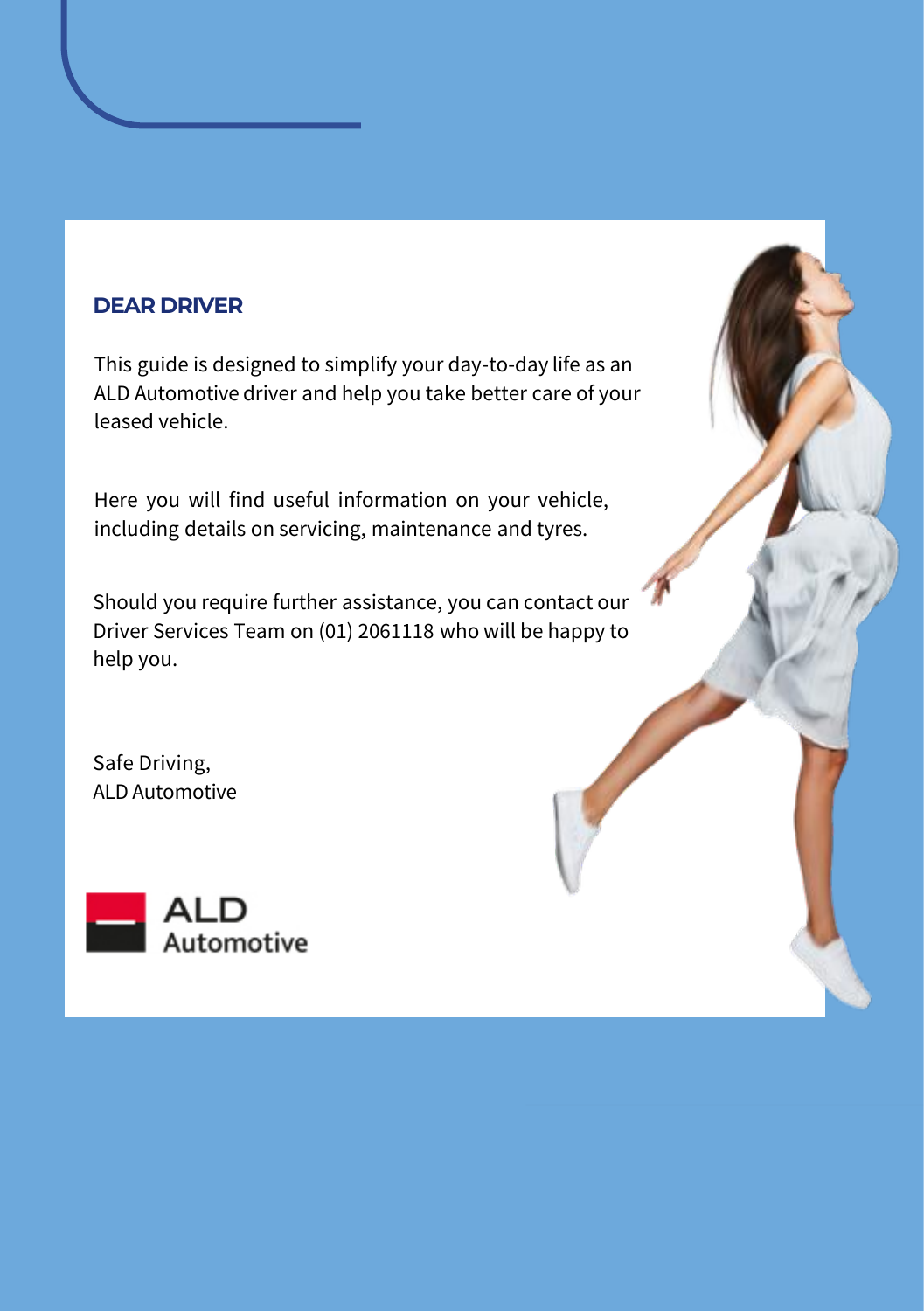#### **DEAR DRIVER**

This guide is designed to simplify your day-to-day life as an ALD Automotive driver and help you take better care of your leased vehicle.

Here you will find useful information on your vehicle, including details on servicing, maintenance and tyres.

Should you require further assistance, you can contact our Driver Services Team on (01) 2061118 who will be happy to help you.

Safe Driving, ALD Automotive

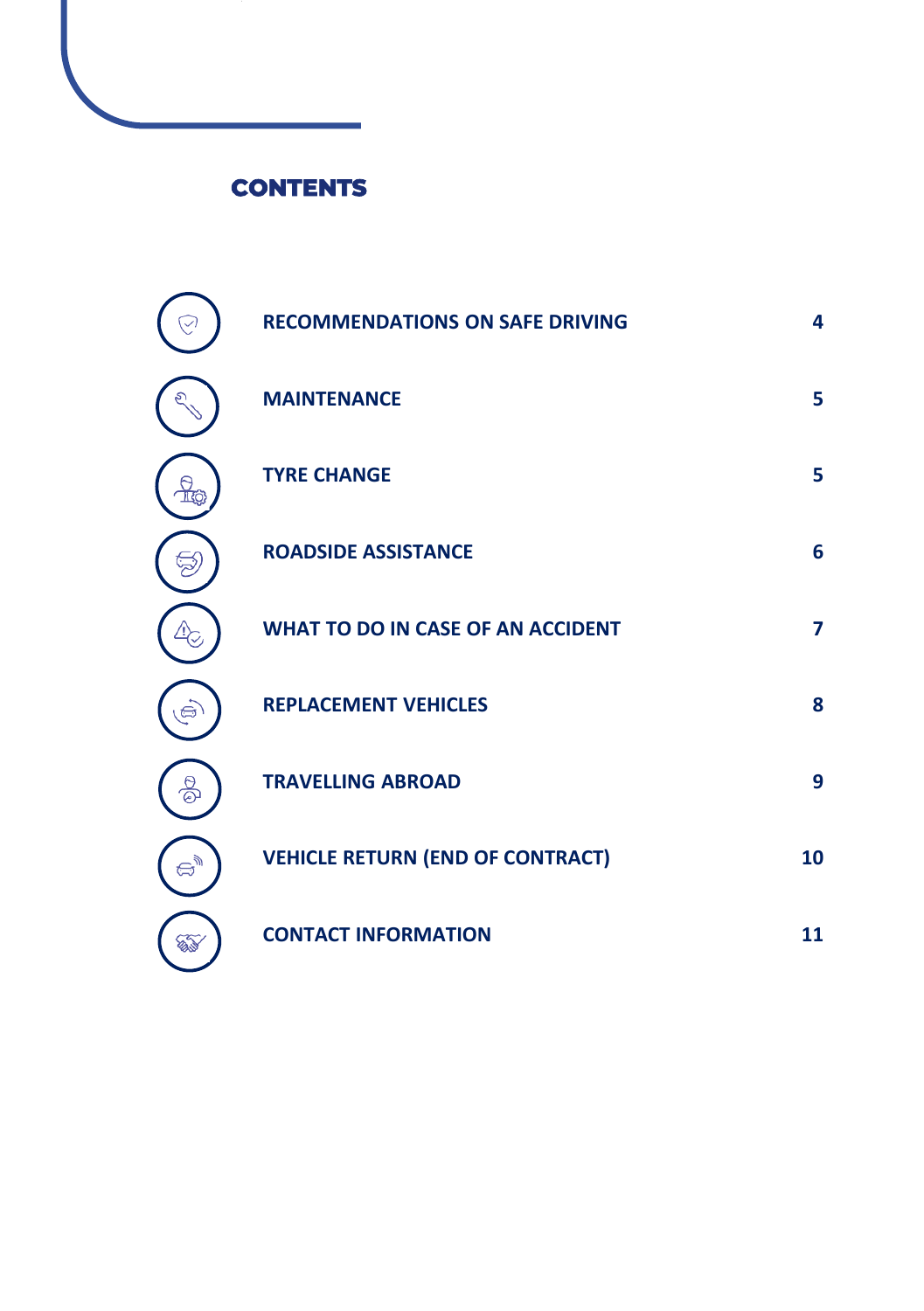#### **CONTENTS**

|    | <b>RECOMMENDATIONS ON SAFE DRIVING</b>   | 4              |
|----|------------------------------------------|----------------|
|    | <b>MAINTENANCE</b>                       | 5              |
|    | <b>TYRE CHANGE</b>                       | 5              |
|    | <b>ROADSIDE ASSISTANCE</b>               | 6              |
|    | <b>WHAT TO DO IN CASE OF AN ACCIDENT</b> | $\overline{ }$ |
|    | <b>REPLACEMENT VEHICLES</b>              | 8              |
|    | <b>TRAVELLING ABROAD</b>                 | 9              |
|    | <b>VEHICLE RETURN (END OF CONTRACT)</b>  | 10             |
| Ø. | <b>CONTACT INFORMATION</b>               | 11             |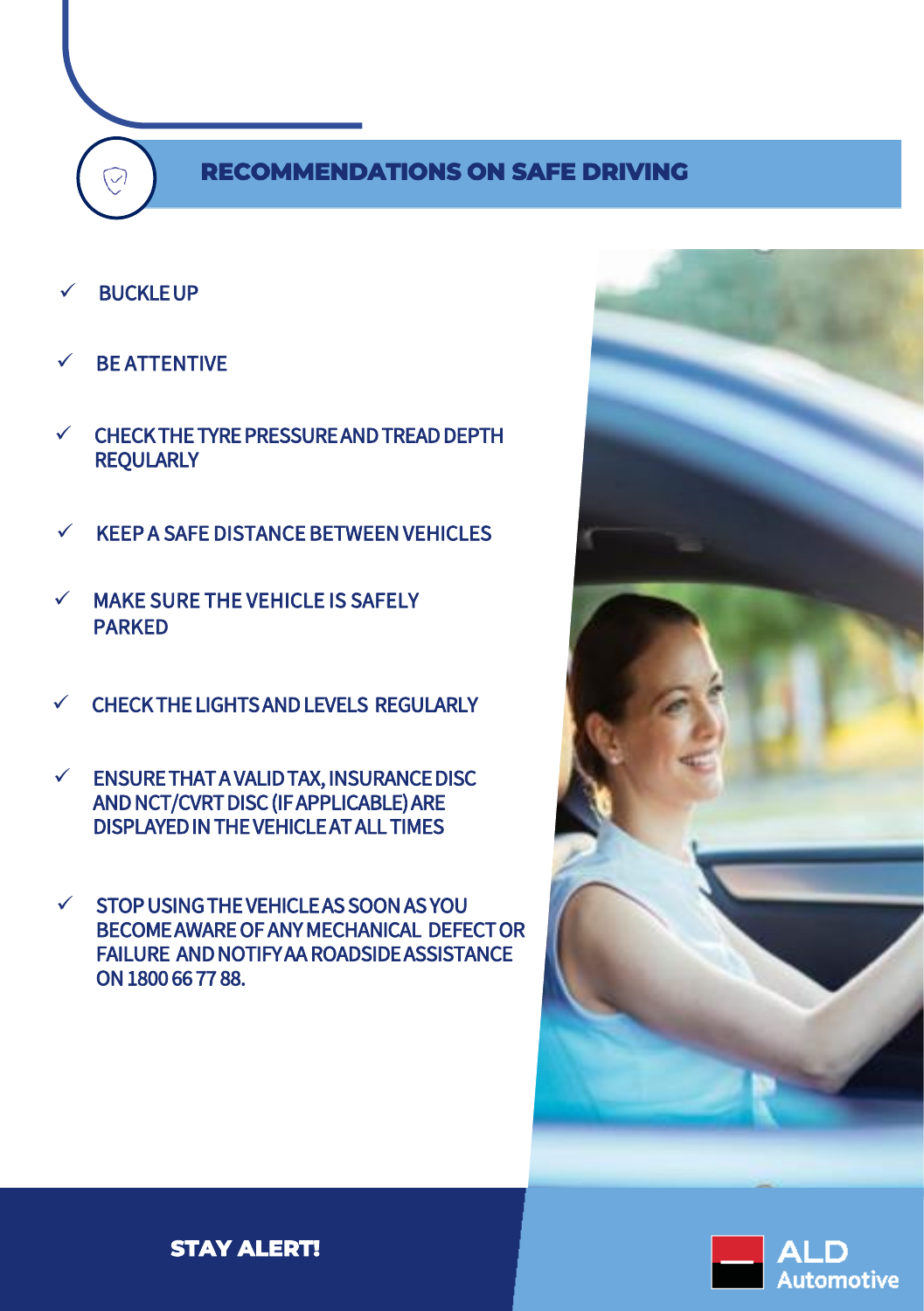#### **RECOMMENDATIONS ON SAFE DRIVING RECOMMENDATIONS ON SAFE DRIVING**

**BUCKLE UP** 

 $\widehat{\heartsuit}$ 

- **BE ATTENTIVE**
- CHECK THE TYRE PRESSURE AND TREAD DEPTH **REQULARLY**
- KEEP A SAFE DISTANCE BETWEEN VEHICLES
- $\checkmark$  MAKE SURE THE VEHICLE IS SAFELY PARKED
- CHECK THE LIGHTS AND LEVELS REGULARLY
- $\checkmark$  ENSURE THAT A VALID TAX, INSURANCE DISC AND NCT/CVRT DISC (IF APPLICABLE) ARE DISPLAYED IN THE VEHICLE AT ALL TIMES
- $\checkmark$  STOP USING THE VEHICLE AS SOON AS YOU BECOME AWARE OF ANY MECHANICAL DEFECT OR FAILURE AND NOTIFY AA ROADSIDE ASSISTANCE ON 1800 66 77 88.





**STAY ALERT!**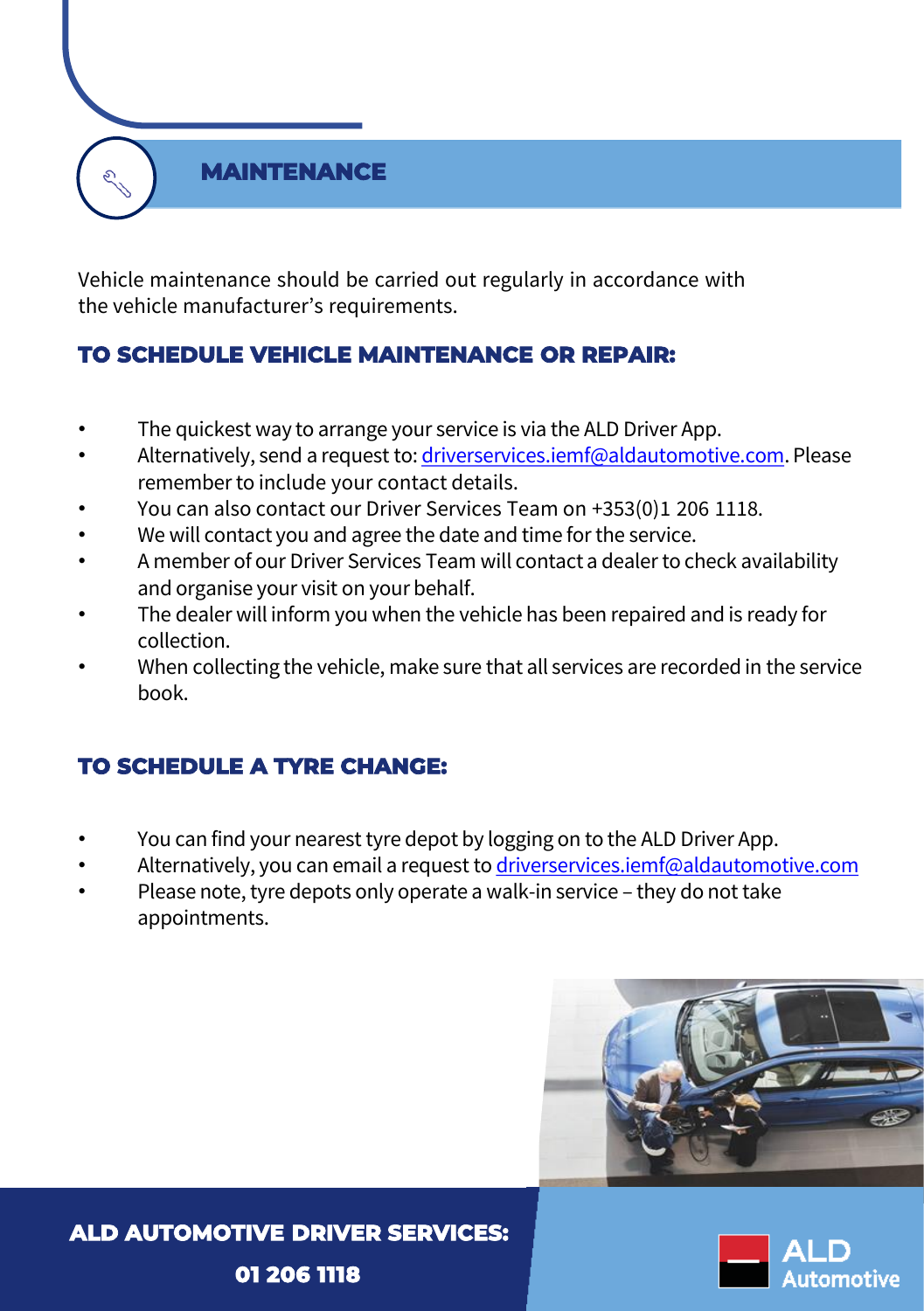#### **MAINTENANCE**

Vehicle maintenance should be carried out regularly in accordance with the vehicle manufacturer's requirements.

#### **TO SCHEDULE VEHICLE MAINTENANCE OR REPAIR:**

- The quickest way to arrange your service is via the ALD Driver App.
- Alternatively, send a request to: [driverservices.iemf@aldautomotive.com](mailto:driverservices.iemf@aldautomotive.com). Please remember to include your contact details.
- You can also contact our Driver Services Team on +353(0)1 206 1118.
- We will contact you and agree the date and time for the service.
- A member of our Driver Services Team will contact a dealer to check availability and organise your visit on your behalf.
- The dealer will inform you when the vehicle has been repaired and is ready for collection.
- When collecting the vehicle, make sure that all services are recorded in the service book.

#### **TO SCHEDULE A TYRE CHANGE:**

- You can find your nearest tyre depot by logging on to the ALD Driver App.
- Alternatively, you can email a request to [driverservices.iemf@aldautomotive.com](mailto:driverservices.iemf@aldautomotive.com)
- Please note, tyre depots only operate a walk-in service they do not take appointments.



**ALD AUTOMOTIVE DRIVER SERVICES: 01 206 1118**

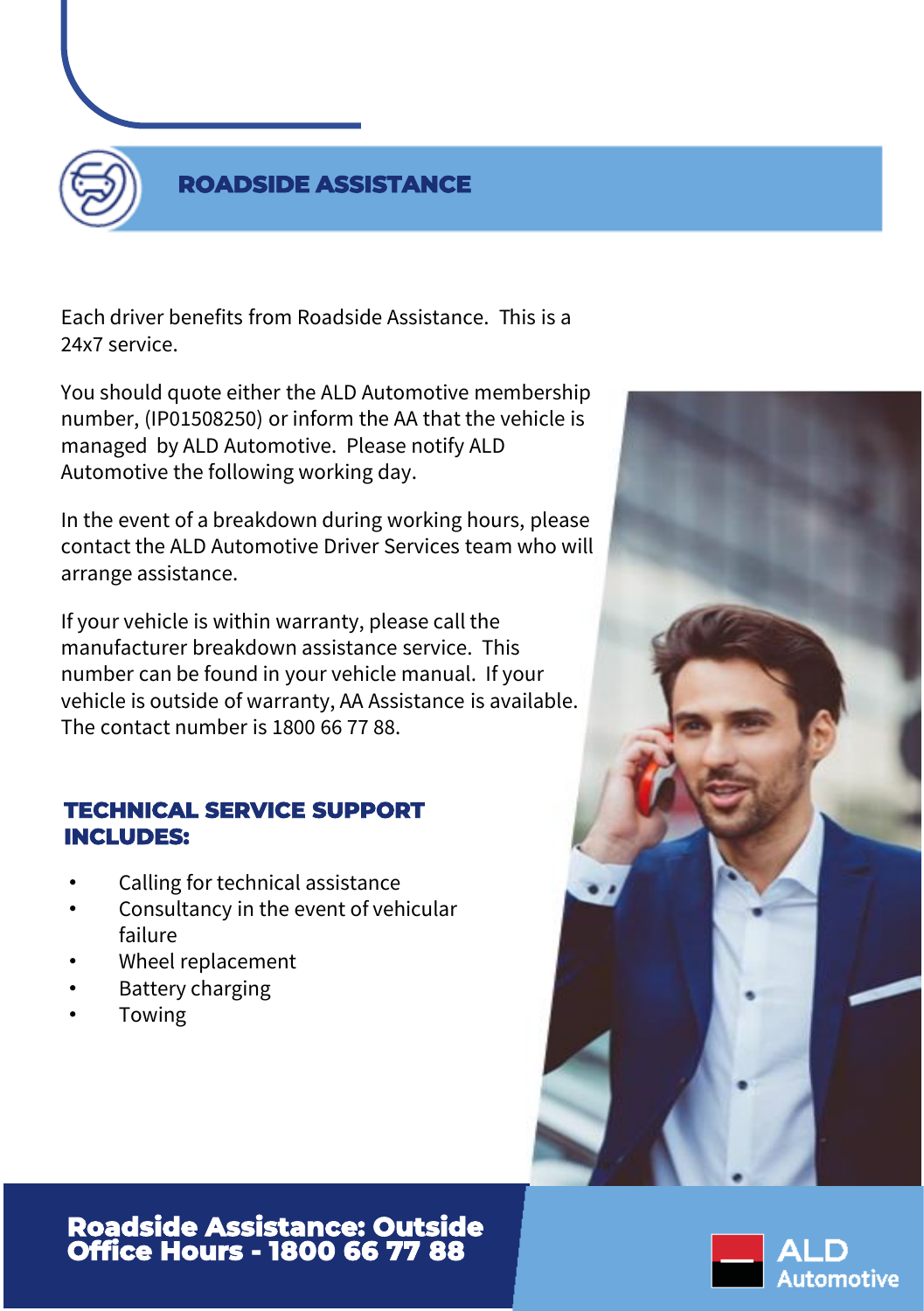

#### **ROADSIDE ASSISTANCE**

Each driver benefits from Roadside Assistance. This is a 24x7 service.

You should quote either the ALD Automotive membership number, (IP01508250) or inform the AA that the vehicle is managed by ALD Automotive. Please notify ALD Automotive the following working day.

In the event of a breakdown during working hours, please contact the ALD Automotive Driver Services team who will arrange assistance.

If your vehicle is within warranty, please call the manufacturer breakdown assistance service. This number can be found in your vehicle manual. If your vehicle is outside of warranty, AA Assistance is available. The contact number is 1800 66 77 88.

#### **TECHNICAL SERVICE SUPPORT INCLUDES:**

- Calling for technical assistance
- Consultancy in the event of vehicular failure
- Wheel replacement
- Battery charging
- **Towing**



**Roadside Assistance: Outside Office Hours - 1800 66 77 88**

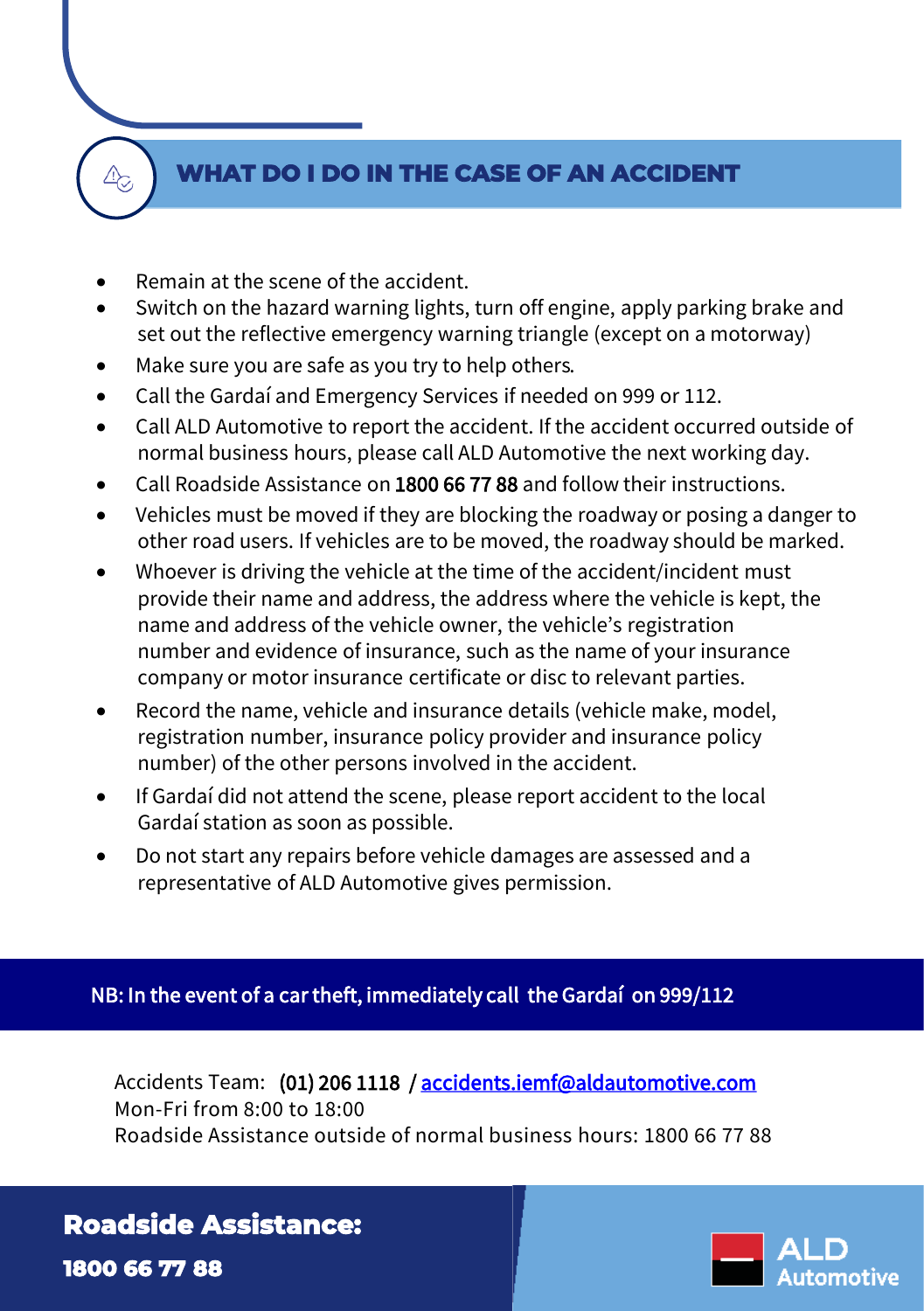#### **WHAT DO I DO IN THE CASE OF AN ACCIDENT**

• Remain at the scene of the accident.

 $\mathbb{A}_{\odot}$ 

- Switch on the hazard warning lights, turn off engine, apply parking brake and set out the reflective emergency warning triangle (except on a motorway)
- Make sure you are safe as you try to help others.
- Call the Gardaí and Emergency Services if needed on 999 or 112.
- Call ALD Automotive to report the accident. If the accident occurred outside of normal business hours, please call ALD Automotive the next working day.
- Call Roadside Assistance on 1800 66 77 88 and follow their instructions.
- Vehicles must be moved if they are blocking the roadway or posing a danger to other road users. If vehicles are to be moved, the roadway should be marked.
- Whoever is driving the vehicle at the time of the accident/incident must provide their name and address, the address where the vehicle is kept, the name and address of the vehicle owner, the vehicle's registration number and evidence of insurance, such as the name of your insurance company or motor insurance certificate or disc to relevant parties.
- Record the name, vehicle and insurance details (vehicle make, model, registration number, insurance policy provider and insurance policy number) of the other persons involved in the accident.
- If Gardaí did not attend the scene, please report accident to the local Gardaí station as soon as possible.
- Do not start any repairs before vehicle damages are assessed and a representative of ALD Automotive gives permission.

#### NB: In the event of a car theft, immediately call the Gardaí on 999/112

Accidents Team: (01) 206 1118 / [accidents.iemf@aldautomotive.com](mailto:accidents.iemf@aldautomotive.com) Mon-Fri from 8:00 to 18:00 Roadside Assistance outside of normal business hours: 1800 66 77 88

#### **Roadside Assistance:**

**1800 66 77 88**

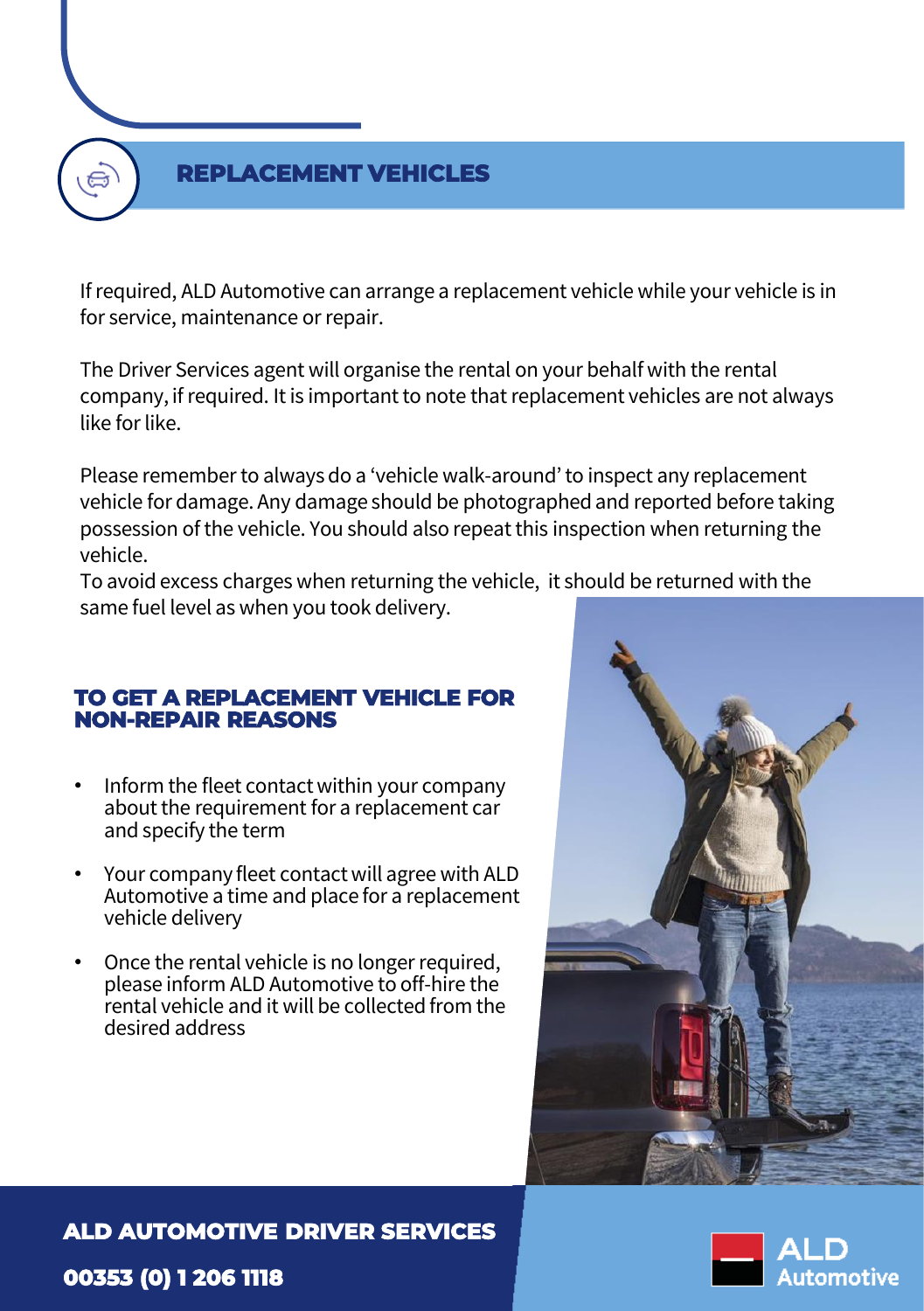#### **REPLACEMENT VEHICLES**

If required, ALD Automotive can arrange a replacement vehicle while your vehicle is in for service, maintenance or repair.

The Driver Services agent will organise the rental on your behalf with the rental company, if required. It is important to note that replacement vehicles are not always like for like.

Please remember to always do a 'vehicle walk-around' to inspect any replacement vehicle for damage. Any damage should be photographed and reported before taking possession of the vehicle. You should also repeat this inspection when returning the vehicle.

To avoid excess charges when returning the vehicle, it should be returned with the same fuel level as when you took delivery.

#### **TO GET A REPLACEMENT VEHICLE FOR NON-REPAIR REASONS**

- Inform the fleet contact within your company about the requirement for a replacement car and specify the term
- Your company fleet contact will agree with ALD Automotive a time and place for a replacement vehicle delivery
- Once the rental vehicle is no longer required, please inform ALD Automotive to off-hire the rental vehicle and it will be collected from the desired address



#### **ALD AUTOMOTIVE DRIVER SERVICES**

#### **00353 (0) 1 206 1118**

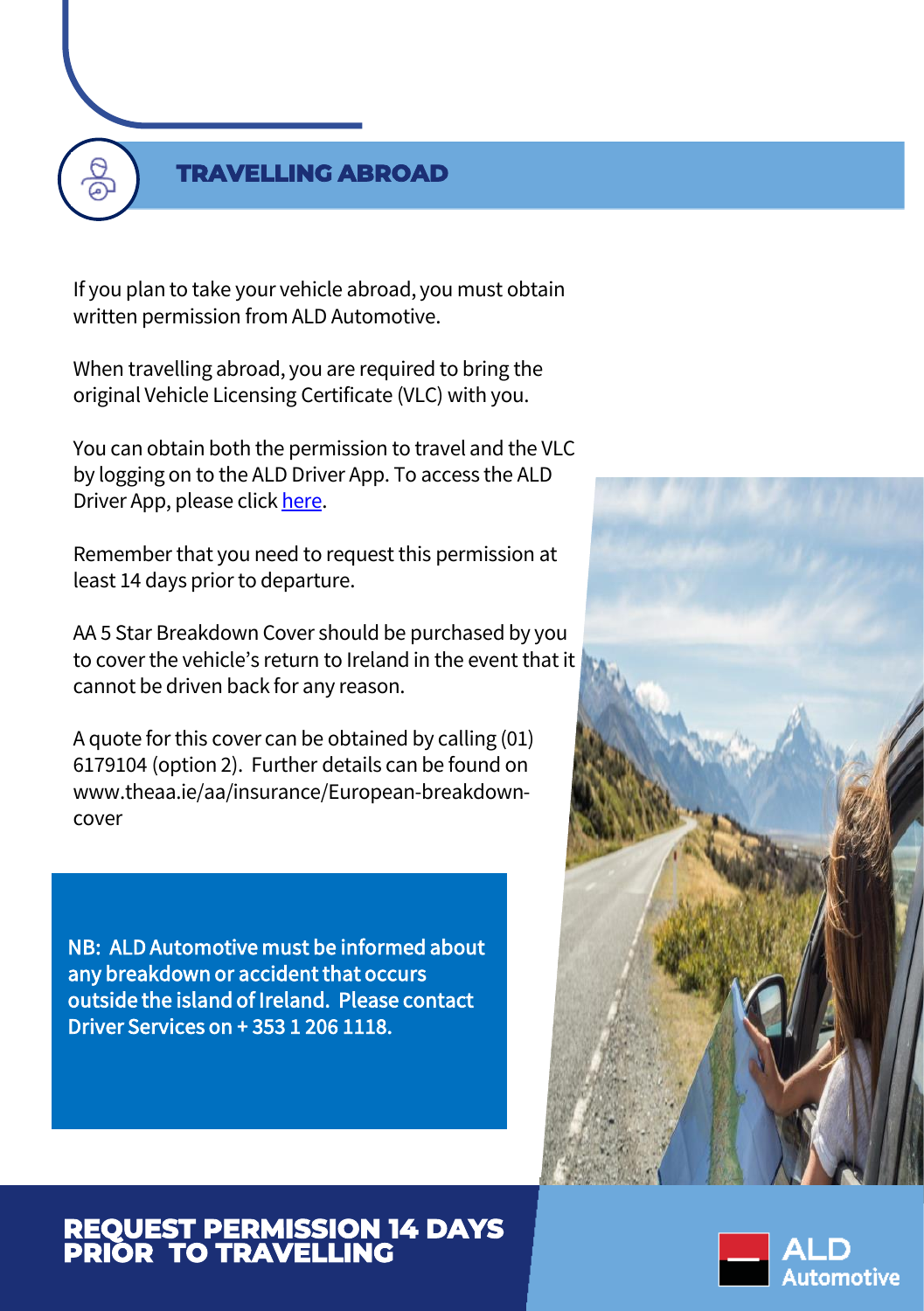#### **TRAVELLING ABROAD**

If you plan to take your vehicle abroad, you must obtain written permission from ALD Automotive.

When travelling abroad, you are required to bring the original Vehicle Licensing Certificate (VLC) with you.

You can obtain both the permission to travel and the VLC by logging on to the ALD Driver App. To access the ALD Driver App, please click [here](https://portal.aldautomotive.ie/).

Remember that you need to request this permission at least 14 days prior to departure.

AA 5 Star Breakdown Cover should be purchased by you to cover the vehicle's return to Ireland in the event that it cannot be driven back for any reason.

A quote for this cover can be obtained by calling (01) 6179104 (option 2). Further details can be found on www.theaa.ie/aa/insurance/European-breakdowncover

NB: ALD Automotive must be informed about any breakdown or accident that occurs outside the island of Ireland. Please contact Driver Services on + 353 1 206 1118.



#### **REQUEST PERMISSION 14 DAYS PRIOR TO TRAVELLING**

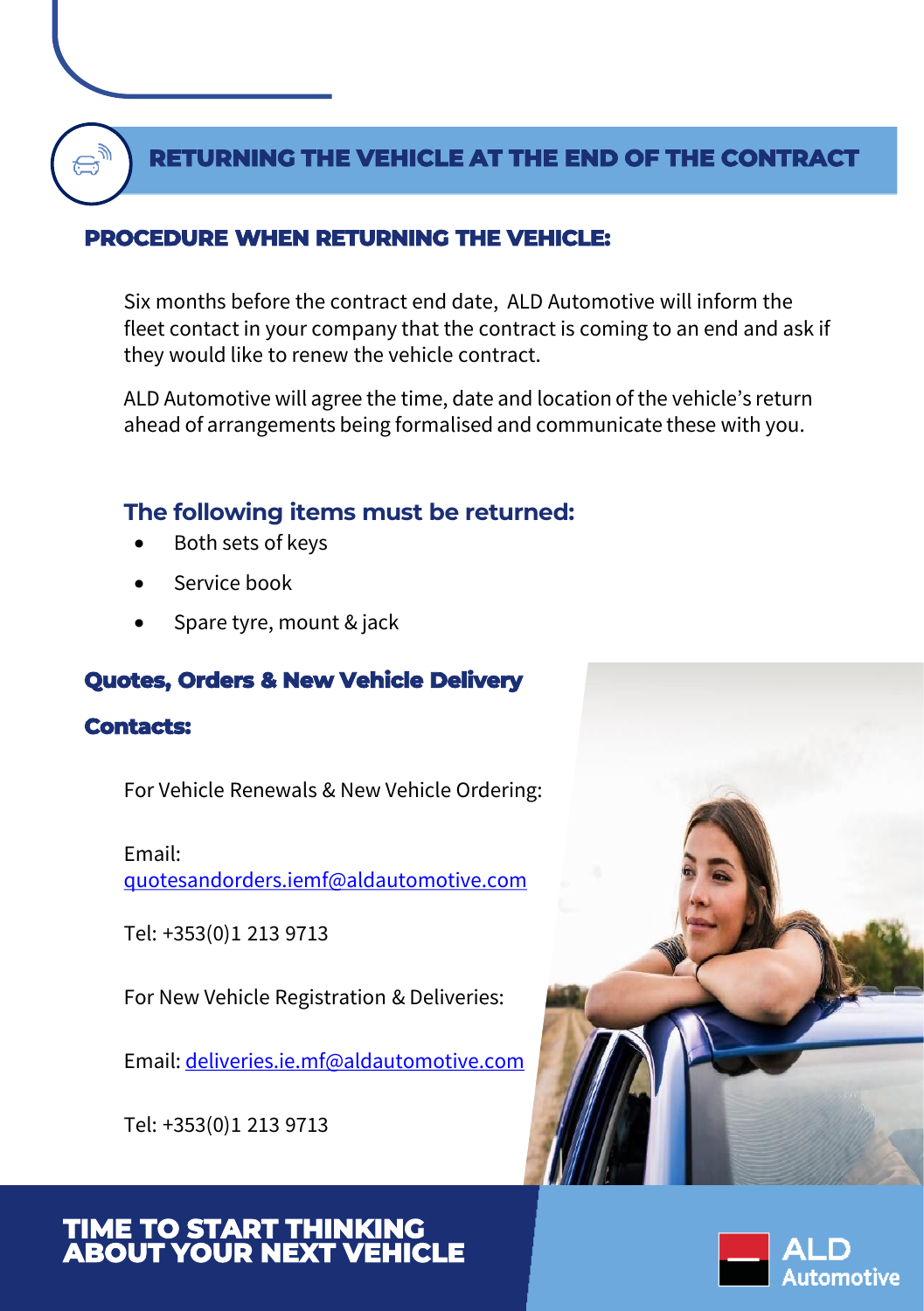#### **RETURNING THE VEHICLE AT THE END OF THE CONTRACT**

#### **PROCEDURE WHEN RETURNING THE VEHICLE:**

Six months before the contract end date, ALD Automotive will inform the fleet contact in your company that the contract is coming to an end and ask if they would like to renew the vehicle contract.

ALD Automotive will agree the time, date and location of the vehicle's return ahead of arrangements being formalised and communicate these with you.

#### **The following items must be returned:**

- Both sets of keys
- Service book
- Spare tyre, mount & jack

#### **Quotes, Orders & New Vehicle Delivery**

#### **Contacts:**

For Vehicle Renewals & New Vehicle Ordering:

#### Email:

[quotesandorders.iemf@aldautomotive.com](mailto:quotesandorders.iemf@aldautomotive.com)

Tel: +353(0)1 213 9713

For New Vehicle Registration & Deliveries:

Email: [deliveries.ie.mf@aldautomotive.com](mailto:deliveries.ie.mf@aldautomotive.com)

Tel: +353(0)1 213 9713



#### **TIME TO START THINKING ABOUT YOUR NEXT VEHICLE**

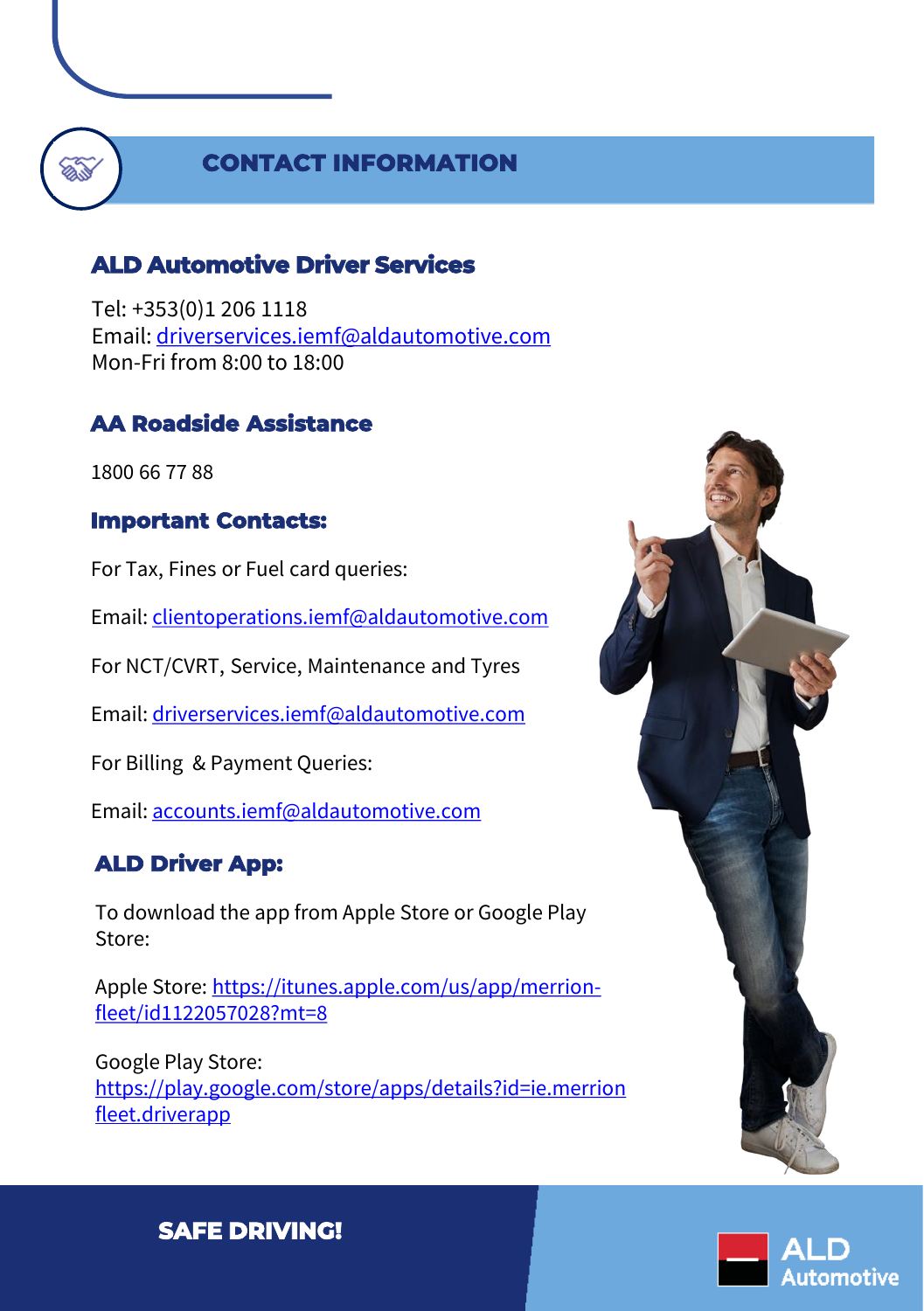#### **CONTACT INFORMATION**

#### **ALD Automotive Driver Services**

Tel: +353(0)1 206 1118 Email: [driverservices.iemf@aldautomotive.com](mailto:driverservices.iemf@aldautomotive.com) Mon-Fri from 8:00 to 18:00

#### **AA Roadside Assistance**

1800 66 77 88

#### **Important Contacts:**

For Tax, Fines or Fuel card queries:

Email: [clientoperations.iemf@aldautomotive.com](mailto:clientoperations.iemf@aldautomotive.com)

For NCT/CVRT, Service, Maintenance and Tyres

Email: [driverservices.iemf@aldautomotive.com](mailto:driverservices.iemf@aldautomotive.com)

For Billing & Payment Queries:

Email: [accounts.iemf@aldautomotive.com](mailto:accounts.iemf@aldautomotive.com)

#### **ALD Driver App:**

To download the app from Apple Store or Google Play Store:

[Apple Store: https://itunes.apple.com/us/app/merrion](https://itunes.apple.com/us/app/merrion-fleet/id1122057028?mt=8)fleet/id1122057028?mt=8

Google Play Store: [https://play.google.com/store/apps/details?id=ie.merrion](https://play.google.com/store/apps/details?id=ie.merrionfleet.driverapp) fleet.driverapp



### utomotive

**SAFE DRIVING!**